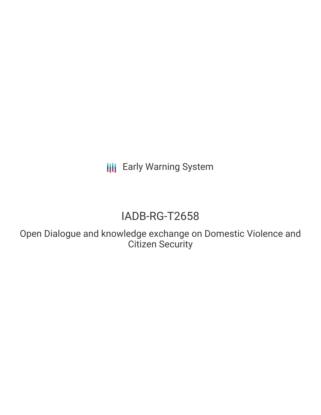**III** Early Warning System

# IADB-RG-T2658

Open Dialogue and knowledge exchange on Domestic Violence and Citizen Security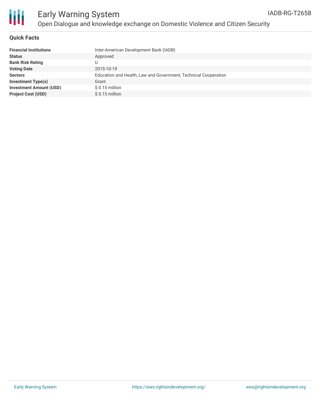

#### **Quick Facts**

| <b>Financial Institutions</b>  | Inter-American Development Bank (IADB)                          |
|--------------------------------|-----------------------------------------------------------------|
| <b>Status</b>                  | Approved                                                        |
| <b>Bank Risk Rating</b>        |                                                                 |
| <b>Voting Date</b>             | 2015-10-19                                                      |
| <b>Sectors</b>                 | Education and Health, Law and Government, Technical Cooperation |
| <b>Investment Type(s)</b>      | Grant                                                           |
| <b>Investment Amount (USD)</b> | $$0.15$ million                                                 |
| <b>Project Cost (USD)</b>      | $$0.15$ million                                                 |
|                                |                                                                 |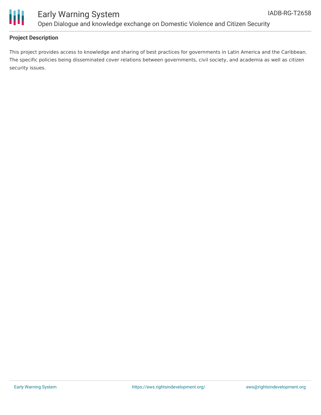

### Early Warning System Open Dialogue and knowledge exchange on Domestic Violence and Citizen Security

#### **Project Description**

This project provides access to knowledge and sharing of best practices for governments in Latin America and the Caribbean. The specific policies being disseminated cover relations between governments, civil society, and academia as well as citizen security issues.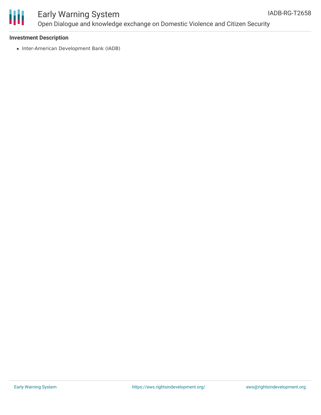

### Early Warning System Open Dialogue and knowledge exchange on Domestic Violence and Citizen Security

#### **Investment Description**

• Inter-American Development Bank (IADB)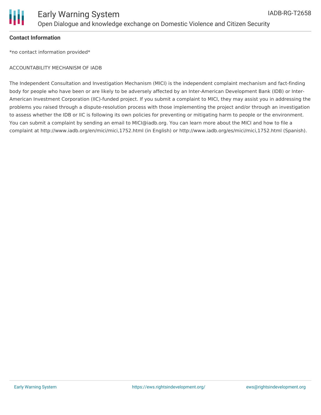

#### **Contact Information**

\*no contact information provided\*

#### ACCOUNTABILITY MECHANISM OF IADB

The Independent Consultation and Investigation Mechanism (MICI) is the independent complaint mechanism and fact-finding body for people who have been or are likely to be adversely affected by an Inter-American Development Bank (IDB) or Inter-American Investment Corporation (IIC)-funded project. If you submit a complaint to MICI, they may assist you in addressing the problems you raised through a dispute-resolution process with those implementing the project and/or through an investigation to assess whether the IDB or IIC is following its own policies for preventing or mitigating harm to people or the environment. You can submit a complaint by sending an email to MICI@iadb.org. You can learn more about the MICI and how to file a complaint at http://www.iadb.org/en/mici/mici,1752.html (in English) or http://www.iadb.org/es/mici/mici,1752.html (Spanish).